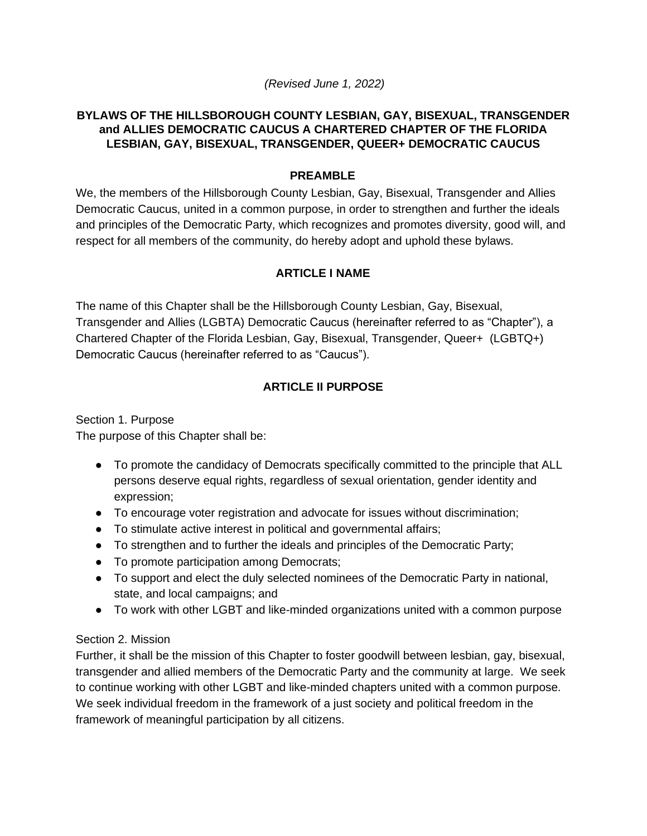### *(Revised June 1, 2022)*

### **BYLAWS OF THE HILLSBOROUGH COUNTY LESBIAN, GAY, BISEXUAL, TRANSGENDER and ALLIES DEMOCRATIC CAUCUS A CHARTERED CHAPTER OF THE FLORIDA LESBIAN, GAY, BISEXUAL, TRANSGENDER, QUEER+ DEMOCRATIC CAUCUS**

### **PREAMBLE**

We, the members of the Hillsborough County Lesbian, Gay, Bisexual, Transgender and Allies Democratic Caucus, united in a common purpose, in order to strengthen and further the ideals and principles of the Democratic Party, which recognizes and promotes diversity, good will, and respect for all members of the community, do hereby adopt and uphold these bylaws.

## **ARTICLE I NAME**

The name of this Chapter shall be the Hillsborough County Lesbian, Gay, Bisexual, Transgender and Allies (LGBTA) Democratic Caucus (hereinafter referred to as "Chapter"), a Chartered Chapter of the Florida Lesbian, Gay, Bisexual, Transgender, Queer+ (LGBTQ+) Democratic Caucus (hereinafter referred to as "Caucus").

## **ARTICLE II PURPOSE**

Section 1. Purpose The purpose of this Chapter shall be:

- To promote the candidacy of Democrats specifically committed to the principle that ALL persons deserve equal rights, regardless of sexual orientation, gender identity and expression;
- To encourage voter registration and advocate for issues without discrimination;
- To stimulate active interest in political and governmental affairs;
- To strengthen and to further the ideals and principles of the Democratic Party;
- To promote participation among Democrats;
- To support and elect the duly selected nominees of the Democratic Party in national, state, and local campaigns; and
- To work with other LGBT and like-minded organizations united with a common purpose

## Section 2. Mission

Further, it shall be the mission of this Chapter to foster goodwill between lesbian, gay, bisexual, transgender and allied members of the Democratic Party and the community at large. We seek to continue working with other LGBT and like-minded chapters united with a common purpose. We seek individual freedom in the framework of a just society and political freedom in the framework of meaningful participation by all citizens.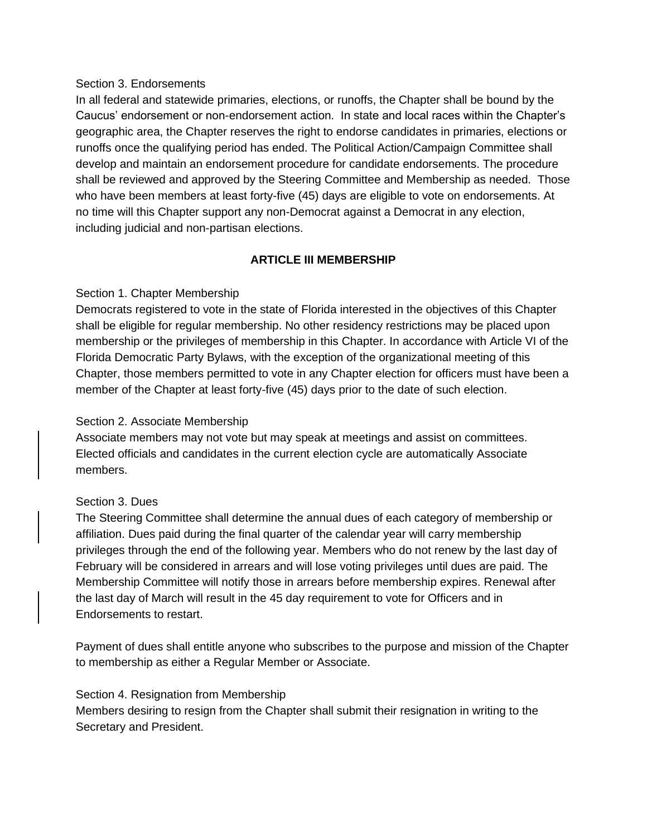#### Section 3. Endorsements

In all federal and statewide primaries, elections, or runoffs, the Chapter shall be bound by the Caucus' endorsement or non-endorsement action. In state and local races within the Chapter's geographic area, the Chapter reserves the right to endorse candidates in primaries, elections or runoffs once the qualifying period has ended. The Political Action/Campaign Committee shall develop and maintain an endorsement procedure for candidate endorsements. The procedure shall be reviewed and approved by the Steering Committee and Membership as needed. Those who have been members at least forty-five (45) days are eligible to vote on endorsements. At no time will this Chapter support any non-Democrat against a Democrat in any election, including judicial and non-partisan elections.

### **ARTICLE III MEMBERSHIP**

### Section 1. Chapter Membership

Democrats registered to vote in the state of Florida interested in the objectives of this Chapter shall be eligible for regular membership. No other residency restrictions may be placed upon membership or the privileges of membership in this Chapter. In accordance with Article VI of the Florida Democratic Party Bylaws, with the exception of the organizational meeting of this Chapter, those members permitted to vote in any Chapter election for officers must have been a member of the Chapter at least forty-five (45) days prior to the date of such election.

#### Section 2. Associate Membership

Associate members may not vote but may speak at meetings and assist on committees. Elected officials and candidates in the current election cycle are automatically Associate members.

## Section 3. Dues

The Steering Committee shall determine the annual dues of each category of membership or affiliation. Dues paid during the final quarter of the calendar year will carry membership privileges through the end of the following year. Members who do not renew by the last day of February will be considered in arrears and will lose voting privileges until dues are paid. The Membership Committee will notify those in arrears before membership expires. Renewal after the last day of March will result in the 45 day requirement to vote for Officers and in Endorsements to restart.

Payment of dues shall entitle anyone who subscribes to the purpose and mission of the Chapter to membership as either a Regular Member or Associate.

#### Section 4. Resignation from Membership

Members desiring to resign from the Chapter shall submit their resignation in writing to the Secretary and President.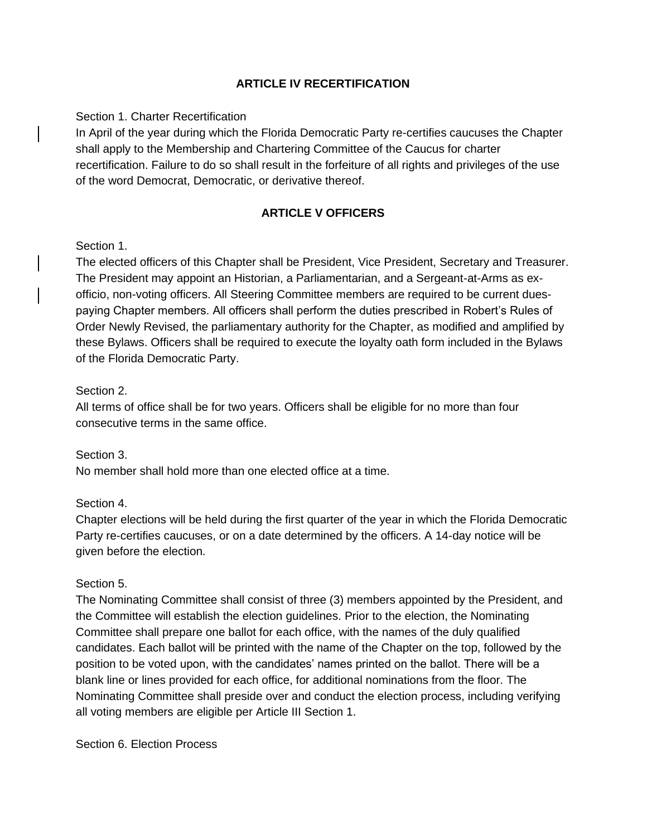### **ARTICLE IV RECERTIFICATION**

### Section 1. Charter Recertification

In April of the year during which the Florida Democratic Party re-certifies caucuses the Chapter shall apply to the Membership and Chartering Committee of the Caucus for charter recertification. Failure to do so shall result in the forfeiture of all rights and privileges of the use of the word Democrat, Democratic, or derivative thereof.

### **ARTICLE V OFFICERS**

#### Section 1.

The elected officers of this Chapter shall be President, Vice President, Secretary and Treasurer. The President may appoint an Historian, a Parliamentarian, and a Sergeant-at-Arms as exofficio, non-voting officers. All Steering Committee members are required to be current duespaying Chapter members. All officers shall perform the duties prescribed in Robert's Rules of Order Newly Revised, the parliamentary authority for the Chapter, as modified and amplified by these Bylaws. Officers shall be required to execute the loyalty oath form included in the Bylaws of the Florida Democratic Party.

#### Section 2.

All terms of office shall be for two years. Officers shall be eligible for no more than four consecutive terms in the same office.

Section 3. No member shall hold more than one elected office at a time.

## Section 4.

Chapter elections will be held during the first quarter of the year in which the Florida Democratic Party re-certifies caucuses, or on a date determined by the officers. A 14-day notice will be given before the election.

#### Section 5.

The Nominating Committee shall consist of three (3) members appointed by the President, and the Committee will establish the election guidelines. Prior to the election, the Nominating Committee shall prepare one ballot for each office, with the names of the duly qualified candidates. Each ballot will be printed with the name of the Chapter on the top, followed by the position to be voted upon, with the candidates' names printed on the ballot. There will be a blank line or lines provided for each office, for additional nominations from the floor. The Nominating Committee shall preside over and conduct the election process, including verifying all voting members are eligible per Article III Section 1.

Section 6. Election Process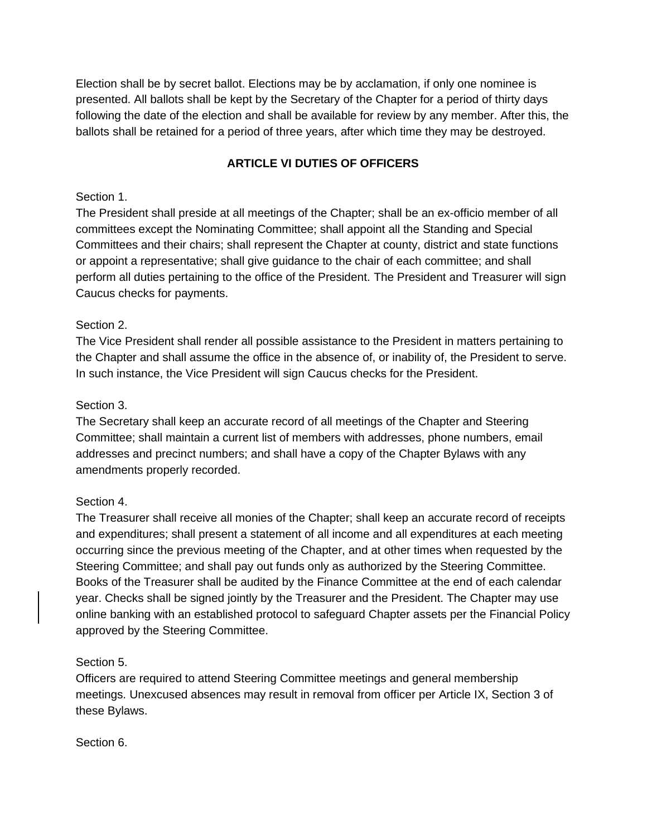Election shall be by secret ballot. Elections may be by acclamation, if only one nominee is presented. All ballots shall be kept by the Secretary of the Chapter for a period of thirty days following the date of the election and shall be available for review by any member. After this, the ballots shall be retained for a period of three years, after which time they may be destroyed.

## **ARTICLE VI DUTIES OF OFFICERS**

### Section 1.

The President shall preside at all meetings of the Chapter; shall be an ex-officio member of all committees except the Nominating Committee; shall appoint all the Standing and Special Committees and their chairs; shall represent the Chapter at county, district and state functions or appoint a representative; shall give guidance to the chair of each committee; and shall perform all duties pertaining to the office of the President. The President and Treasurer will sign Caucus checks for payments.

## Section 2.

The Vice President shall render all possible assistance to the President in matters pertaining to the Chapter and shall assume the office in the absence of, or inability of, the President to serve. In such instance, the Vice President will sign Caucus checks for the President.

### Section 3.

The Secretary shall keep an accurate record of all meetings of the Chapter and Steering Committee; shall maintain a current list of members with addresses, phone numbers, email addresses and precinct numbers; and shall have a copy of the Chapter Bylaws with any amendments properly recorded.

## Section 4.

The Treasurer shall receive all monies of the Chapter; shall keep an accurate record of receipts and expenditures; shall present a statement of all income and all expenditures at each meeting occurring since the previous meeting of the Chapter, and at other times when requested by the Steering Committee; and shall pay out funds only as authorized by the Steering Committee. Books of the Treasurer shall be audited by the Finance Committee at the end of each calendar year. Checks shall be signed jointly by the Treasurer and the President. The Chapter may use online banking with an established protocol to safeguard Chapter assets per the Financial Policy approved by the Steering Committee.

## Section 5.

Officers are required to attend Steering Committee meetings and general membership meetings. Unexcused absences may result in removal from officer per Article IX, Section 3 of these Bylaws.

#### Section 6.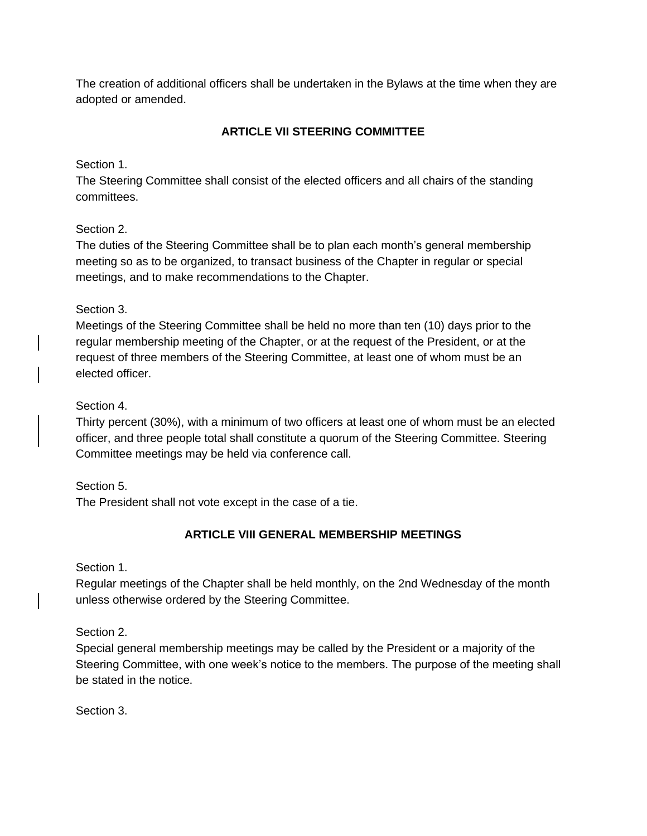The creation of additional officers shall be undertaken in the Bylaws at the time when they are adopted or amended.

## **ARTICLE VII STEERING COMMITTEE**

Section 1.

The Steering Committee shall consist of the elected officers and all chairs of the standing committees.

## Section 2.

The duties of the Steering Committee shall be to plan each month's general membership meeting so as to be organized, to transact business of the Chapter in regular or special meetings, and to make recommendations to the Chapter.

## Section 3.

Meetings of the Steering Committee shall be held no more than ten (10) days prior to the regular membership meeting of the Chapter, or at the request of the President, or at the request of three members of the Steering Committee, at least one of whom must be an elected officer.

## Section 4.

Thirty percent (30%), with a minimum of two officers at least one of whom must be an elected officer, and three people total shall constitute a quorum of the Steering Committee. Steering Committee meetings may be held via conference call.

Section 5.

The President shall not vote except in the case of a tie.

# **ARTICLE VIII GENERAL MEMBERSHIP MEETINGS**

Section 1.

Regular meetings of the Chapter shall be held monthly, on the 2nd Wednesday of the month unless otherwise ordered by the Steering Committee.

Section 2.

Special general membership meetings may be called by the President or a majority of the Steering Committee, with one week's notice to the members. The purpose of the meeting shall be stated in the notice.

Section 3.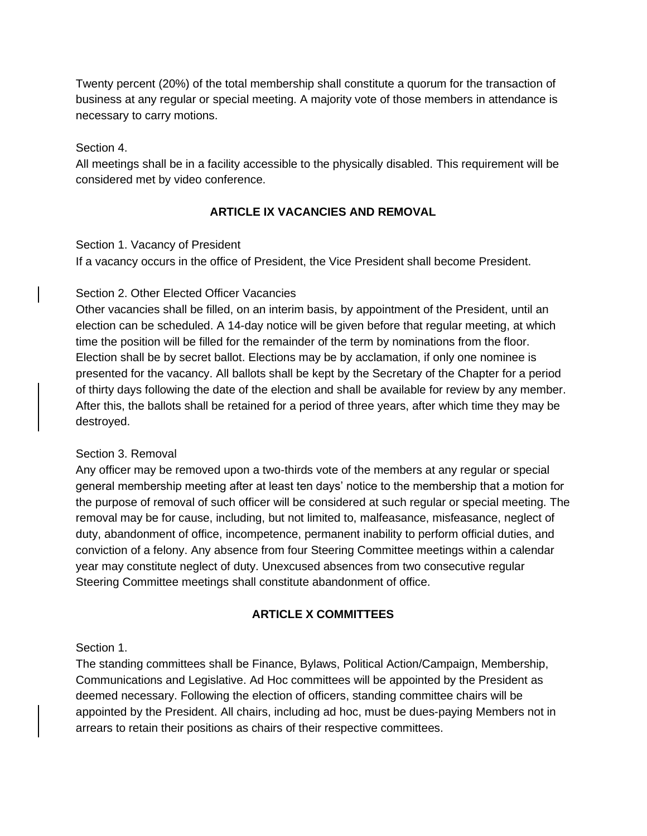Twenty percent (20%) of the total membership shall constitute a quorum for the transaction of business at any regular or special meeting. A majority vote of those members in attendance is necessary to carry motions.

#### Section 4.

All meetings shall be in a facility accessible to the physically disabled. This requirement will be considered met by video conference.

#### **ARTICLE IX VACANCIES AND REMOVAL**

#### Section 1. Vacancy of President

If a vacancy occurs in the office of President, the Vice President shall become President.

#### Section 2. Other Elected Officer Vacancies

Other vacancies shall be filled, on an interim basis, by appointment of the President, until an election can be scheduled. A 14-day notice will be given before that regular meeting, at which time the position will be filled for the remainder of the term by nominations from the floor. Election shall be by secret ballot. Elections may be by acclamation, if only one nominee is presented for the vacancy. All ballots shall be kept by the Secretary of the Chapter for a period of thirty days following the date of the election and shall be available for review by any member. After this, the ballots shall be retained for a period of three years, after which time they may be destroyed.

#### Section 3. Removal

Any officer may be removed upon a two-thirds vote of the members at any regular or special general membership meeting after at least ten days' notice to the membership that a motion for the purpose of removal of such officer will be considered at such regular or special meeting. The removal may be for cause, including, but not limited to, malfeasance, misfeasance, neglect of duty, abandonment of office, incompetence, permanent inability to perform official duties, and conviction of a felony. Any absence from four Steering Committee meetings within a calendar year may constitute neglect of duty. Unexcused absences from two consecutive regular Steering Committee meetings shall constitute abandonment of office.

#### **ARTICLE X COMMITTEES**

#### Section 1.

The standing committees shall be Finance, Bylaws, Political Action/Campaign, Membership, Communications and Legislative. Ad Hoc committees will be appointed by the President as deemed necessary. Following the election of officers, standing committee chairs will be appointed by the President. All chairs, including ad hoc, must be dues-paying Members not in arrears to retain their positions as chairs of their respective committees.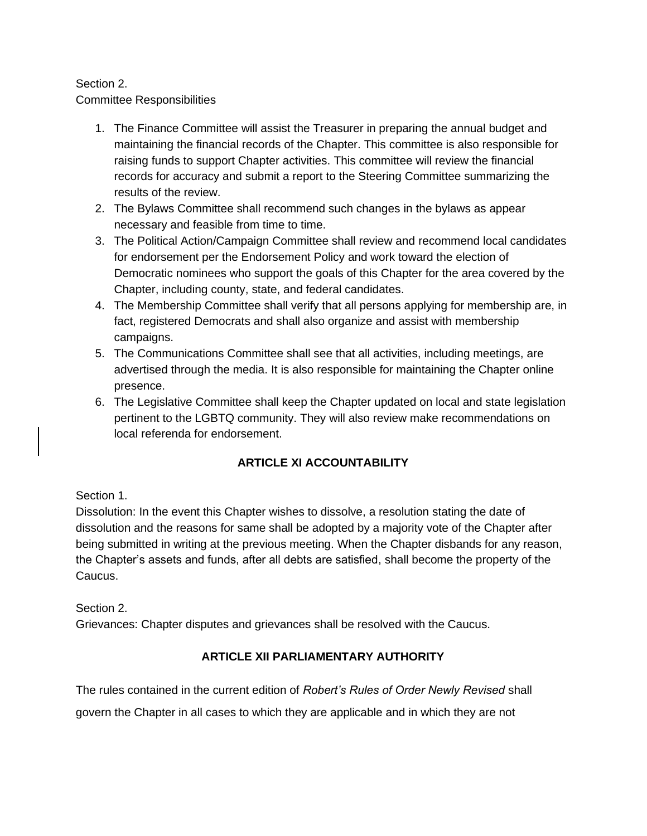## Section 2.

Committee Responsibilities

- 1. The Finance Committee will assist the Treasurer in preparing the annual budget and maintaining the financial records of the Chapter. This committee is also responsible for raising funds to support Chapter activities. This committee will review the financial records for accuracy and submit a report to the Steering Committee summarizing the results of the review.
- 2. The Bylaws Committee shall recommend such changes in the bylaws as appear necessary and feasible from time to time.
- 3. The Political Action/Campaign Committee shall review and recommend local candidates for endorsement per the Endorsement Policy and work toward the election of Democratic nominees who support the goals of this Chapter for the area covered by the Chapter, including county, state, and federal candidates.
- 4. The Membership Committee shall verify that all persons applying for membership are, in fact, registered Democrats and shall also organize and assist with membership campaigns.
- 5. The Communications Committee shall see that all activities, including meetings, are advertised through the media. It is also responsible for maintaining the Chapter online presence.
- 6. The Legislative Committee shall keep the Chapter updated on local and state legislation pertinent to the LGBTQ community. They will also review make recommendations on local referenda for endorsement.

## **ARTICLE XI ACCOUNTABILITY**

## Section 1.

Dissolution: In the event this Chapter wishes to dissolve, a resolution stating the date of dissolution and the reasons for same shall be adopted by a majority vote of the Chapter after being submitted in writing at the previous meeting. When the Chapter disbands for any reason, the Chapter's assets and funds, after all debts are satisfied, shall become the property of the Caucus.

Section 2.

Grievances: Chapter disputes and grievances shall be resolved with the Caucus.

## **ARTICLE XII PARLIAMENTARY AUTHORITY**

The rules contained in the current edition of *Robert's Rules of Order Newly Revised* shall

govern the Chapter in all cases to which they are applicable and in which they are not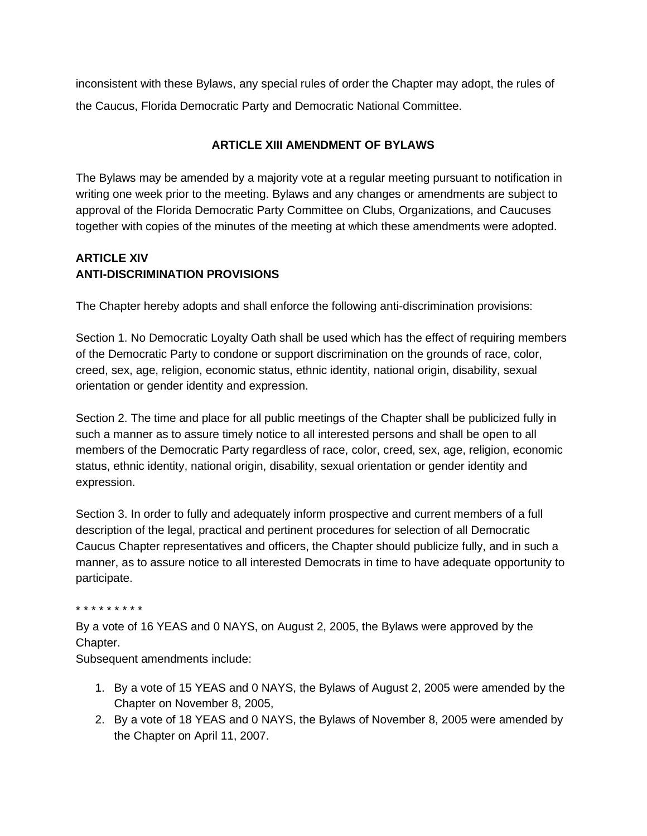inconsistent with these Bylaws, any special rules of order the Chapter may adopt, the rules of the Caucus, Florida Democratic Party and Democratic National Committee.

## **ARTICLE XIII AMENDMENT OF BYLAWS**

The Bylaws may be amended by a majority vote at a regular meeting pursuant to notification in writing one week prior to the meeting. Bylaws and any changes or amendments are subject to approval of the Florida Democratic Party Committee on Clubs, Organizations, and Caucuses together with copies of the minutes of the meeting at which these amendments were adopted.

## **ARTICLE XIV ANTI-DISCRIMINATION PROVISIONS**

The Chapter hereby adopts and shall enforce the following anti-discrimination provisions:

Section 1. No Democratic Loyalty Oath shall be used which has the effect of requiring members of the Democratic Party to condone or support discrimination on the grounds of race, color, creed, sex, age, religion, economic status, ethnic identity, national origin, disability, sexual orientation or gender identity and expression.

Section 2. The time and place for all public meetings of the Chapter shall be publicized fully in such a manner as to assure timely notice to all interested persons and shall be open to all members of the Democratic Party regardless of race, color, creed, sex, age, religion, economic status, ethnic identity, national origin, disability, sexual orientation or gender identity and expression.

Section 3. In order to fully and adequately inform prospective and current members of a full description of the legal, practical and pertinent procedures for selection of all Democratic Caucus Chapter representatives and officers, the Chapter should publicize fully, and in such a manner, as to assure notice to all interested Democrats in time to have adequate opportunity to participate.

#### \* \* \* \* \* \* \* \* \*

By a vote of 16 YEAS and 0 NAYS, on August 2, 2005, the Bylaws were approved by the Chapter.

Subsequent amendments include:

- 1. By a vote of 15 YEAS and 0 NAYS, the Bylaws of August 2, 2005 were amended by the Chapter on November 8, 2005,
- 2. By a vote of 18 YEAS and 0 NAYS, the Bylaws of November 8, 2005 were amended by the Chapter on April 11, 2007.